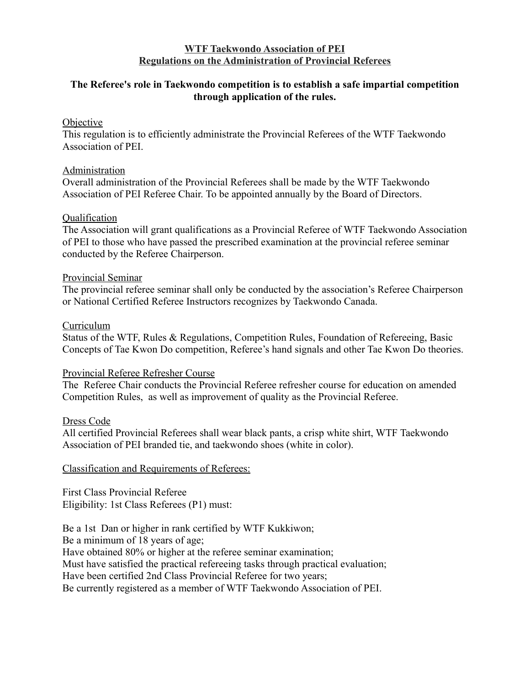### **WTF Taekwondo Association of PEI Regulations on the Administration of Provincial Referees**

### **The Referee's role in Taekwondo competition is to establish a safe impartial competition through application of the rules.**

#### **Objective**

This regulation is to efficiently administrate the Provincial Referees of the WTF Taekwondo Association of PEI.

### Administration

Overall administration of the Provincial Referees shall be made by the WTF Taekwondo Association of PEI Referee Chair. To be appointed annually by the Board of Directors.

### **Qualification**

The Association will grant qualifications as a Provincial Referee of WTF Taekwondo Association of PEI to those who have passed the prescribed examination at the provincial referee seminar conducted by the Referee Chairperson.

### Provincial Seminar

The provincial referee seminar shall only be conducted by the association's Referee Chairperson or National Certified Referee Instructors recognizes by Taekwondo Canada.

### Curriculum

Status of the WTF, Rules & Regulations, Competition Rules, Foundation of Refereeing, Basic Concepts of Tae Kwon Do competition, Referee's hand signals and other Tae Kwon Do theories.

# Provincial Referee Refresher Course

The Referee Chair conducts the Provincial Referee refresher course for education on amended Competition Rules, as well as improvement of quality as the Provincial Referee.

# Dress Code

All certified Provincial Referees shall wear black pants, a crisp white shirt, WTF Taekwondo Association of PEI branded tie, and taekwondo shoes (white in color).

# Classification and Requirements of Referees:

First Class Provincial Referee Eligibility: 1st Class Referees (P1) must:

Be a 1st Dan or higher in rank certified by WTF Kukkiwon;

Be a minimum of 18 years of age;

Have obtained 80% or higher at the referee seminar examination;

Must have satisfied the practical refereeing tasks through practical evaluation;

Have been certified 2nd Class Provincial Referee for two years;

Be currently registered as a member of WTF Taekwondo Association of PEI.